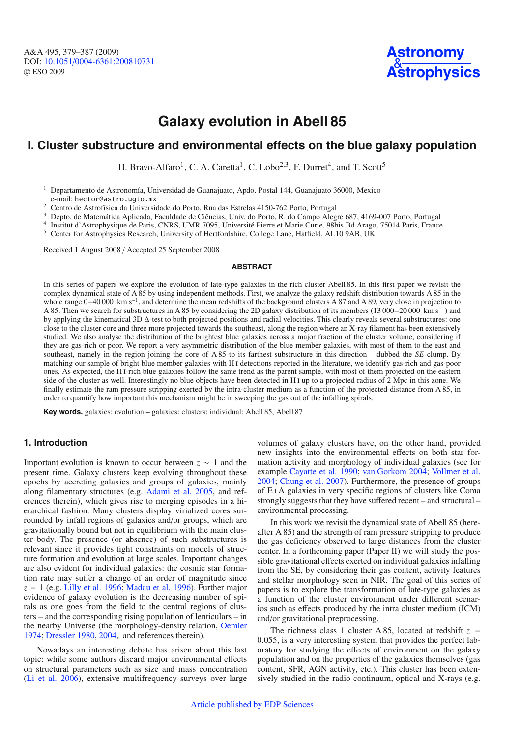# **Galaxy evolution in Abell 85**

# **I. Cluster substructure and environmental effects on the blue galaxy population**

H. Bravo-Alfaro<sup>1</sup>, C. A. Caretta<sup>1</sup>, C. Lobo<sup>2,3</sup>, F. Durret<sup>4</sup>, and T. Scott<sup>5</sup>

<sup>1</sup> Departamento de Astronomía, Universidad de Guanajuato, Apdo. Postal 144, Guanajuato 36000, Mexico

- e-mail: hector@astro.ugto.mx<br>
<sup>2</sup> Centro de Astrofísica da Universidade do Porto, Rua das Estrelas 4150-762 Porto, Portugal<br>
<sup>3</sup> Depto. de Matemática Aplicada, Faculdade de Ciências, Univ. do Porto, R. do Campo Alegre 687,
- 

<sup>5</sup> Center for Astrophysics Research, University of Hertfordshire, College Lane, Hatfield, AL10 9AB, UK

Received 1 August 2008 / Accepted 25 September 2008

#### **ABSTRACT**

In this series of papers we explore the evolution of late-type galaxies in the rich cluster Abell 85. In this first paper we revisit the complex dynamical state of A 85 by using independent methods. First, we analyze the galaxy redshift distribution towards A 85 in the whole range 0−40 000 km s−1, and determine the mean redshifts of the background clusters A 87 and A 89, very close in projection to A 85. Then we search for substructures in A 85 by considering the 2D galaxy distribution of its members (13 000−20 000 km s−1) and by applying the kinematical 3D Δ-test to both projected positions and radial velocities. This clearly reveals several substructures: one close to the cluster core and three more projected towards the southeast, along the region where an X-ray filament has been extensively studied. We also analyse the distribution of the brightest blue galaxies across a major fraction of the cluster volume, considering if they are gas-rich or poor. We report a very asymmetric distribution of the blue member galaxies, with most of them to the east and southeast, namely in the region joining the core of A 85 to its farthest substructure in this direction – dubbed the *SE* clump. By matching our sample of bright blue member galaxies with H i detections reported in the literature, we identify gas-rich and gas-poor ones. As expected, the H i-rich blue galaxies follow the same trend as the parent sample, with most of them projected on the eastern side of the cluster as well. Interestingly no blue objects have been detected in H i up to a projected radius of 2 Mpc in this zone. We finally estimate the ram pressure stripping exerted by the intra-cluster medium as a function of the projected distance from A 85, in order to quantify how important this mechanism might be in sweeping the gas out of the infalling spirals.

**Key words.** galaxies: evolution – galaxies: clusters: individual: Abell 85, Abell 87

# **1. Introduction**

Important evolution is known to occur between *z* ∼ 1 and the present time. Galaxy clusters keep evolving throughout these epochs by accreting galaxies and groups of galaxies, mainly along filamentary structures (e.g. [Adami et al. 2005](#page-8-0), and references therein), which gives rise to merging episodes in a hierarchical fashion. Many clusters display virialized cores surrounded by infall regions of galaxies and/or groups, which are gravitationally bound but not in equilibrium with the main cluster body. The presence (or absence) of such substructures is relevant since it provides tight constraints on models of structure formation and evolution at large scales. Important changes are also evident for individual galaxies: the cosmic star formation rate may suffer a change of an order of magnitude since  $z = 1$  (e.g. [Lilly et al. 1996;](#page-8-1) [Madau et al. 1996\)](#page-8-2). Further major evidence of galaxy evolution is the decreasing number of spirals as one goes from the field to the central regions of clusters – and the corresponding rising population of lenticulars – in the nearby Universe (the morphology-density relation, [Oemler](#page-8-3) [1974](#page-8-3); [Dressler 1980](#page-8-4), [2004](#page-8-5), and references therein).

Nowadays an interesting debate has arisen about this last topic: while some authors discard major environmental effects on structural parameters such as size and mass concentration [\(Li et al. 2006\)](#page-8-6), extensive multifrequency surveys over large

volumes of galaxy clusters have, on the other hand, provided new insights into the environmental effects on both star formation activity and morphology of individual galaxies (see for example [Cayatte et al. 1990](#page-8-7); [van Gorkom 2004](#page-8-8); [Vollmer et al.](#page-8-9) [2004](#page-8-9); [Chung et al. 2007\)](#page-8-10). Furthermore, the presence of groups of E+A galaxies in very specific regions of clusters like Coma strongly suggests that they have suffered recent – and structural – environmental processing.

In this work we revisit the dynamical state of Abell 85 (hereafter A 85) and the strength of ram pressure stripping to produce the gas deficiency observed to large distances from the cluster center. In a forthcoming paper (Paper II) we will study the possible gravitational effects exerted on individual galaxies infalling from the SE, by considering their gas content, activity features and stellar morphology seen in NIR. The goal of this series of papers is to explore the transformation of late-type galaxies as a function of the cluster environment under different scenarios such as effects produced by the intra cluster medium (ICM) and/or gravitational preprocessing.

The richness class 1 cluster A 85, located at redshift  $z =$ 0.055, is a very interesting system that provides the perfect laboratory for studying the effects of environment on the galaxy population and on the properties of the galaxies themselves (gas content, SFR, AGN activity, etc.). This cluster has been extensively studied in the radio continuum, optical and X-rays (e.g.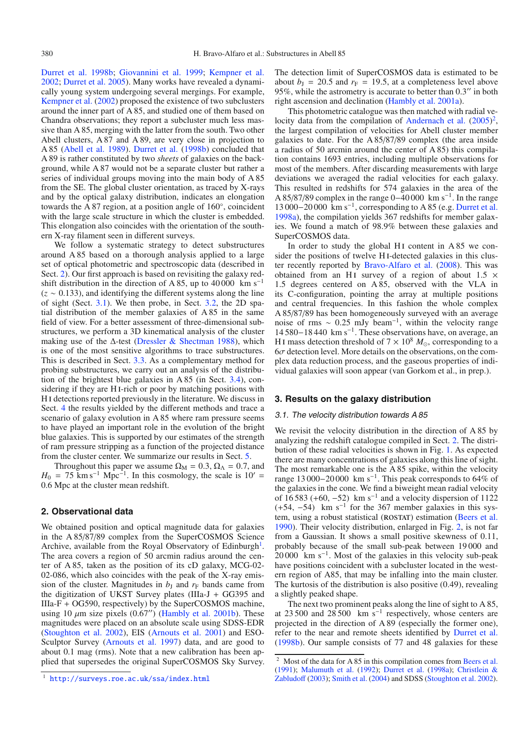[Durret et al. 1998b](#page-8-11); [Giovannini et al. 1999;](#page-8-12) [Kempner et al.](#page-8-13) [2002](#page-8-13); [Durret et al. 2005\)](#page-8-14). Many works have revealed a dynamically young system undergoing several mergings. For example, [Kempner et al.](#page-8-13) [\(2002\)](#page-8-13) proposed the existence of two subclusters around the inner part of A 85, and studied one of them based on Chandra observations; they report a subcluster much less massive than A 85, merging with the latter from the south. Two other Abell clusters, A 87 and A 89, are very close in projection to A 85 [\(Abell et al. 1989](#page-8-15)). [Durret et al.](#page-8-11) [\(1998b\)](#page-8-11) concluded that A 89 is rather constituted by two *sheets* of galaxies on the background, while A 87 would not be a separate cluster but rather a series of individual groups moving into the main body of A 85 from the SE. The global cluster orientation, as traced by X-rays and by the optical galaxy distribution, indicates an elongation towards the A 87 region, at a position angle of 160◦, coincident with the large scale structure in which the cluster is embedded. This elongation also coincides with the orientation of the southern X-ray filament seen in different surveys.

We follow a systematic strategy to detect substructures around A 85 based on a thorough analysis applied to a large set of optical photometric and spectroscopic data (described in Sect. [2\)](#page-1-0). Our first approach is based on revisiting the galaxy redshift distribution in the direction of A 85, up to 40 000 km s<sup>-1</sup> (*z* ∼ 0.133), and identifying the different systems along the line of sight (Sect. [3.1\)](#page-1-1). We then probe, in Sect. [3.2,](#page-2-0) the 2D spatial distribution of the member galaxies of A 85 in the same field of view. For a better assessment of three-dimensional substructures, we perform a 3D kinematical analysis of the cluster making use of the  $\Delta$ -test [\(Dressler & Shectman 1988](#page-8-16)), which is one of the most sensitive algorithms to trace substructures. This is described in Sect. [3.3.](#page-3-0) As a complementary method for probing substructures, we carry out an analysis of the distribution of the brightest blue galaxies in A 85 (in Sect. [3.4\)](#page-3-1), considering if they are H<sub>I</sub>-rich or poor by matching positions with H i detections reported previously in the literature. We discuss in Sect. [4](#page-5-0) the results yielded by the different methods and trace a scenario of galaxy evolution in A 85 where ram pressure seems to have played an important role in the evolution of the bright blue galaxies. This is supported by our estimates of the strength of ram pressure stripping as a function of the projected distance from the cluster center. We summarize our results in Sect. [5.](#page-7-0)

Throughout this paper we assume  $\Omega_M = 0.3$ ,  $\Omega_{\Lambda} = 0.7$ , and  $H_0 = 75$  km s<sup>-1</sup> Mpc<sup>-1</sup>. In this cosmology, the scale is 10' = 0.6 Mpc at the cluster mean redshift.

# <span id="page-1-0"></span>**2. Observational data**

<span id="page-1-2"></span>We obtained position and optical magnitude data for galaxies in the A 85/87/89 complex from the SuperCOSMOS Science Archive, available from the Royal Observatory of Edinburgh<sup>[1](#page-1-2)</sup>. The area covers a region of 50 arcmin radius around the center of A 85, taken as the position of its cD galaxy, MCG-02- 02-086, which also coincides with the peak of the X-ray emission of the cluster. Magnitudes in  $b<sub>J</sub>$  and  $r<sub>F</sub>$  bands came from the digitization of UKST Survey plates (IIIa-J + GG395 and IIIa-F + OG590, respectively) by the SuperCOSMOS machine, using 10  $\mu$ m size pixels (0.67") [\(Hambly et al. 2001b](#page-8-17)). These magnitudes were placed on an absolute scale using SDSS-EDR [\(Stoughton et al. 2002\)](#page-8-18), EIS [\(Arnouts et al. 2001](#page-8-19)) and ESO-Sculptor Survey [\(Arnouts et al. 1997](#page-8-20)) data, and are good to about 0.1 mag (rms). Note that a new calibration has been applied that supersedes the original SuperCOSMOS Sky Survey. The detection limit of SuperCOSMOS data is estimated to be about  $b<sub>J</sub> = 20.5$  and  $r<sub>F</sub> = 19.5$ , at a completeness level above 95%, while the astrometry is accurate to better than  $0.3$ " in both right ascension and declination [\(Hambly et al. 2001a](#page-8-21)).

This photometric catalogue was then matched with radial ve-locity data from the compilation of [Andernach et al.](#page-8-22)  $(2005)^2$  $(2005)^2$  $(2005)^2$ , the largest compilation of velocities for Abell cluster member galaxies to date. For the A 85/87/89 complex (the area inside a radius of 50 arcmin around the center of A 85) this compilation contains 1693 entries, including multiple observations for most of the members. After discarding measurements with large deviations we averaged the radial velocities for each galaxy. This resulted in redshifts for 574 galaxies in the area of the A 85/87/89 complex in the range  $0-40000 \text{ km s}^{-1}$ . In the range 13 000−20 000 km s<sup>-1</sup>, corresponding to A 85 (e.g. [Durret et al.](#page-8-23) [1998a](#page-8-23)), the compilation yields 367 redshifts for member galaxies. We found a match of 98.9% between these galaxies and SuperCOSMOS data.

In order to study the global H<sub>I</sub> content in  $A 85$  we consider the positions of twelve HI-detected galaxies in this cluster recently reported by [Bravo-Alfaro et al.](#page-8-24) [\(2008\)](#page-8-24). This was obtained from an H<sub>I</sub> survey of a region of about  $1.5 \times$ 1.5 degrees centered on A 85, observed with the VLA in its C-configuration, pointing the array at multiple positions and central frequencies. In this fashion the whole complex A 85/87/89 has been homogeneously surveyed with an average noise of rms ~ 0.25 mJy beam<sup>-1</sup>, within the velocity range 14 580−18 440 km s−1. These observations have, on average, an H<sub>I</sub> mass detection threshold of  $7 \times 10^8$   $M_{\odot}$ , corresponding to a  $6\sigma$  detection level. More details on the observations, on the complex data reduction process, and the gaseous properties of individual galaxies will soon appear (van Gorkom et al., in prep.).

#### <span id="page-1-1"></span>**3. Results on the galaxy distribution**

# 3.1. The velocity distribution towards A 85

We revisit the velocity distribution in the direction of A 85 by analyzing the redshift catalogue compiled in Sect. [2.](#page-1-0) The distribution of these radial velocities is shown in Fig. [1.](#page-2-1) As expected there are many concentrations of galaxies along this line of sight. The most remarkable one is the A 85 spike, within the velocity range 13 000−20 000 km s−1. This peak corresponds to 64% of the galaxies in the cone. We find a biweight mean radial velocity of  $16\,583$  (+60, -52) km s<sup>-1</sup> and a velocity dispersion of  $1122$  $(+54, -54)$  km s<sup>-1</sup> for the 367 member galaxies in this sys-tem, using a robust statistical (ROSTAT) estimation [\(Beers et al.](#page-8-25) [1990\)](#page-8-25). Their velocity distribution, enlarged in Fig. [2,](#page-2-2) is not far from a Gaussian. It shows a small positive skewness of 0.11, probably because of the small sub-peak between 19 000 and 20 000 km s−1. Most of the galaxies in this velocity sub-peak have positions coincident with a subcluster located in the western region of A85, that may be infalling into the main cluster. The kurtosis of the distribution is also positive (0.49), revealing a slightly peaked shape.

<span id="page-1-3"></span>The next two prominent peaks along the line of sight to A 85, at 23 500 and 28 500 km s<sup>-1</sup> respectively, whose centers are projected in the direction of A 89 (especially the former one), refer to the near and remote sheets identified by [Durret et al.](#page-8-11) [\(1998b](#page-8-11)). Our sample consists of 77 and 48 galaxies for these

<sup>1</sup> <http://surveys.roe.ac.uk/ssa/index.html>

Most of the data for A 85 in this compilation comes from [Beers et al.](#page-8-26) [\(1991\)](#page-8-26); [Malumuth et al.](#page-8-27) [\(1992\)](#page-8-27); [Durret et al.](#page-8-23) [\(1998a](#page-8-23)); Christlein & Zabludoff [\(2003\)](#page-8-28); [Smith et al.](#page-8-29) [\(2004\)](#page-8-29) and SDSS [\(Stoughton et al. 2002](#page-8-18)).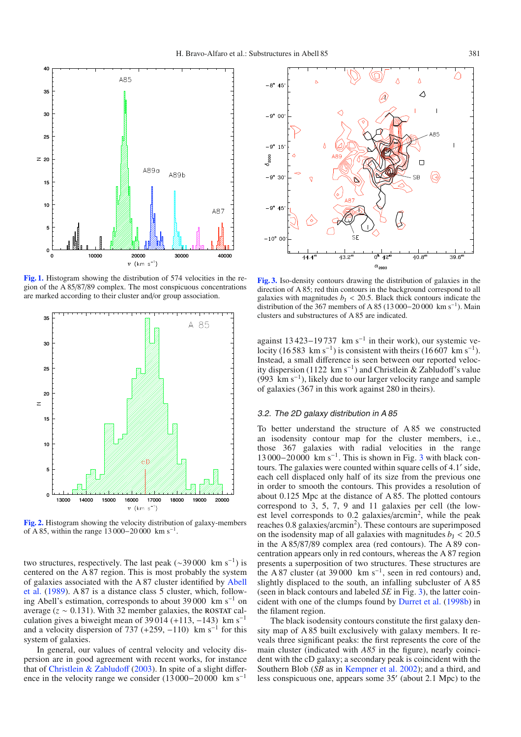<span id="page-2-1"></span>

**[Fig. 1.](http://dexter.edpsciences.org/applet.php?DOI=10.1051/0004-6361:200810731&pdf_id=1)** Histogram showing the distribution of 574 velocities in the region of the A 85/87/89 complex. The most conspicuous concentrations are marked according to their cluster and/or group association.

<span id="page-2-2"></span>

**[Fig. 2.](http://dexter.edpsciences.org/applet.php?DOI=10.1051/0004-6361:200810731&pdf_id=2)** Histogram showing the velocity distribution of galaxy-members of A 85, within the range 13 000−20 000 km s−1.

two structures, respectively. The last peak ( $\sim$ 39000 km s<sup>-1</sup>) is centered on the A 87 region. This is most probably the system of ga[laxies associated with the A 87 cluster identified by](#page-8-15) Abell et al. [\(1989](#page-8-15)). A 87 is a distance class 5 cluster, which, following Abell's estimation, corresponds to about 39 000 km s−<sup>1</sup> on average  $(z \sim 0.131)$ . With 32 member galaxies, the ROSTAT calculation gives a biweight mean of 39 014 (+113, -143) km s<sup>-1</sup> and a velocity dispersion of 737 (+259,  $-110$ ) km s<sup>-1</sup> for this system of galaxies.

In general, our values of central velocity and velocity dispersion are in good agreement with recent works, for instance that of [Christlein & Zabludo](#page-8-28)ff [\(2003\)](#page-8-28). In spite of a slight difference in the velocity range we consider (13 000−20 000 km s−<sup>1</sup>

<span id="page-2-3"></span>

**[Fig. 3.](http://dexter.edpsciences.org/applet.php?DOI=10.1051/0004-6361:200810731&pdf_id=3)** Iso-density contours drawing the distribution of galaxies in the direction of A 85; red thin contours in the background correspond to all galaxies with magnitudes  $b<sub>J</sub> < 20.5$ . Black thick contours indicate the distribution of the 367 members of A 85 (13 000–20 000 km s<sup>-1</sup>). Main clusters and substructures of A 85 are indicated.

against 13 423–19 737 km s<sup>-1</sup> in their work), our systemic velocity (16 583 km s<sup>-1</sup>) is consistent with theirs (16 607 km s<sup>-1</sup>). Instead, a small difference is seen between our reported velocity dispersion (1122 km s<sup>-1</sup>) and Christlein & Zabludoff's value (993 km s−1), likely due to our larger velocity range and sample of galaxies (367 in this work against 280 in theirs).

#### <span id="page-2-0"></span>3.2. The 2D galaxy distribution in A 85

To better understand the structure of A 85 we constructed an isodensity contour map for the cluster members, i.e., those 367 galaxies with radial velocities in the range 1[3](#page-2-3) 000−20 000 km s<sup>-1</sup>. This is shown in Fig. 3 with black contours. The galaxies were counted within square cells of 4.1' side, each cell displaced only half of its size from the previous one in order to smooth the contours. This provides a resolution of about 0.125 Mpc at the distance of A 85. The plotted contours correspond to 3, 5, 7, 9 and 11 galaxies per cell (the lowest level corresponds to  $0.2$  galaxies/arcmin<sup>2</sup>, while the peak reaches 0.8 galaxies/arcmin<sup>2</sup>). These contours are superimposed on the isodensity map of all galaxies with magnitudes  $b<sub>J</sub> < 20.5$ in the A 85/87/89 complex area (red contours). The A 89 concentration appears only in red contours, whereas the A 87 region presents a superposition of two structures. These structures are the A 87 cluster (at 39 000 km s<sup>-1</sup>, seen in red contours) and, slightly displaced to the south, an infalling subcluster of A 85 (seen in black contours and labeled *SE* in Fig. [3\)](#page-2-3), the latter coincident with one of the clumps found by [Durret et al.](#page-8-11) [\(1998b](#page-8-11)) in the filament region.

The black isodensity contours constitute the first galaxy density map of A 85 built exclusively with galaxy members. It reveals three significant peaks: the first represents the core of the main cluster (indicated with *A85* in the figure), nearly coincident with the cD galaxy; a secondary peak is coincident with the Southern Blob (*SB* as in [Kempner et al. 2002\)](#page-8-13); and a third, and less conspicuous one, appears some 35' (about 2.1 Mpc) to the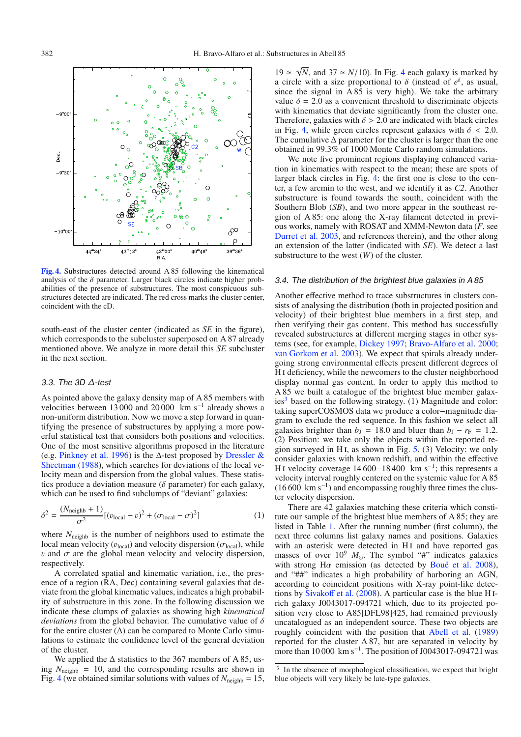<span id="page-3-2"></span>

**[Fig. 4.](http://dexter.edpsciences.org/applet.php?DOI=10.1051/0004-6361:200810731&pdf_id=4)** Substructures detected around A 85 following the kinematical analysis of the  $\delta$  parameter. Larger black circles indicate higher probabilities of the presence of substructures. The most conspicuous substructures detected are indicated. The red cross marks the cluster center, coincident with the cD.

south-east of the cluster center (indicated as *SE* in the figure), which corresponds to the subcluster superposed on A 87 already mentioned above. We analyze in more detail this *SE* subcluster in the next section.

#### <span id="page-3-0"></span>3.3. The 3D Δ-test

As pointed above the galaxy density map of A 85 members with velocities between 13 000 and 20 000 km s<sup>-1</sup> already shows a non-uniform distribution. Now we move a step forward in quantifying the presence of substructures by applying a more powerful statistical test that considers both positions and velocities. One of the most sensitive algorithms proposed in the literature (e.g. [Pinkney et al. 1996](#page-8-30)) is the  $\Delta$ -test proposed by Dressler & Shectman [\(1988\)](#page-8-16), which searches for deviations of the local velocity mean and dispersion from the global values. These statistics produce a deviation measure ( $\delta$  parameter) for each galaxy, which can be used to find subclumps of "deviant" galaxies:

$$
\delta^2 = \frac{(N_{\text{neighbour}} + 1)}{\sigma^2} [(v_{\text{local}} - v)^2 + (\sigma_{\text{local}} - \sigma)^2]
$$
 (1)

where  $N_{\text{neighbour}}$  is the number of neighbors used to estimate the local mean velocity ( $v_{\text{local}}$ ) and velocity dispersion ( $\sigma_{\text{local}}$ ), while v and  $\sigma$  are the global mean velocity and velocity dispersion, respectively.

A correlated spatial and kinematic variation, i.e., the presence of a region (RA, Dec) containing several galaxies that deviate from the global kinematic values, indicates a high probability of substructure in this zone. In the following discussion we indicate these clumps of galaxies as showing high *kinematical deviations* from the global behavior. The cumulative value of δ for the entire cluster  $(\Delta)$  can be compared to Monte Carlo simulations to estimate the confidence level of the general deviation of the cluster.

We applied the  $\Delta$  statistics to the 367 members of A 85, using  $N_{\text{neighbor}} = 10$ , and the corresponding results are shown in Fig. [4](#page-3-2) (we obtained similar solutions with values of  $N_{\text{neighbour}} = 15$ ,

19 ≈  $\sqrt{N}$ , and 37 ≈ *N*/10). In Fig. [4](#page-3-2) each galaxy is marked by a circle with a size proportional to  $\delta$  (instead of  $e^{\delta}$ , as usual, since the signal in  $\overline{A}85$  is very high). We take the arbitrary value  $\delta = 2.0$  as a convenient threshold to discriminate objects with kinematics that deviate significantly from the cluster one. Therefore, galaxies with  $\delta > 2.0$  are indicated with black circles in Fig. [4,](#page-3-2) while green circles represent galaxies with  $\delta$  < 2.0. The cumulative  $\Delta$  parameter for the cluster is larger than the one obtained in 99.3% of 1000 Monte Carlo random simulations.

We note five prominent regions displaying enhanced variation in kinematics with respect to the mean; these are spots of larger black circles in Fig. [4:](#page-3-2) the first one is close to the center, a few arcmin to the west, and we identify it as *C2*. Another substructure is found towards the south, coincident with the Southern Blob (*SB*), and two more appear in the southeast region of A 85: one along the X-ray filament detected in previous works, namely with ROSAT and XMM-Newton data (*F*, see [Durret et al. 2003](#page-8-31), and references therein), and the other along an extension of the latter (indicated with *SE*). We detect a last substructure to the west (*W*) of the cluster.

#### <span id="page-3-1"></span>3.4. The distribution of the brightest blue galaxies in A 85

Another effective method to trace substructures in clusters consists of analysing the distribution (both in projected position and velocity) of their brightest blue members in a first step, and then verifying their gas content. This method has successfully revealed substructures at different merging stages in other systems (see, for example, [Dickey 1997;](#page-8-32) [Bravo-Alfaro et al. 2000](#page-8-33); [van Gorkom et al. 2003\)](#page-8-34). We expect that spirals already undergoing strong environmental effects present different degrees of H i deficiency, while the newcomers to the cluster neighborhood display normal gas content. In order to apply this method to A 85 we built a catalogue of the brightest blue member galaxies<sup>3</sup> based on the following strategy. (1) Magnitude and color: taking superCOSMOS data we produce a color−magnitude diagram to exclude the red sequence. In this fashion we select all galaxies brighter than  $b<sub>J</sub> = 18.0$  and bluer than  $b<sub>J</sub> - r<sub>F</sub> = 1.2$ . (2) Position: we take only the objects within the reported region surveyed in H<sub>I</sub>, as shown in Fig.  $5. (3)$  $5. (3)$  Velocity: we only consider galaxies with known redshift, and within the effective HI velocity coverage  $14\,600-18\,400$  km s<sup>-1</sup>; this represents a velocity interval roughly centered on the systemic value for A 85  $(16600 \text{ km s}^{-1})$  and encompassing roughly three times the cluster velocity dispersion.

<span id="page-3-3"></span>There are 42 galaxies matching these criteria which constitute our sample of the brightest blue members of A 85; they are listed in Table [1.](#page-4-0) After the running number (first column), the next three columns list galaxy names and positions. Galaxies with an asterisk were detected in HI and have reported gas masses of over  $10^9$   $M_{\odot}$ . The symbol "#" indicates galaxies with strong H $\alpha$  emission (as detected by [Boué et al. 2008](#page-8-35)), and "##" indicates a high probability of harboring an AGN, according to coincident positions with X-ray point-like detections by [Sivako](#page-8-36)ff et al. [\(2008](#page-8-36)). A particular case is the blue H irich galaxy J0043017-094721 which, due to its projected position very close to A85[DFL98]425, had remained previously uncatalogued as an independent source. These two objects are roughly coincident with the position that [Abell et al.](#page-8-15) [\(1989\)](#page-8-15) reported for the cluster A 87, but are separated in velocity by more than 10 000 km s−1. The position of J0043017-094721 was

In the absence of morphological classification, we expect that bright blue objects will very likely be late-type galaxies.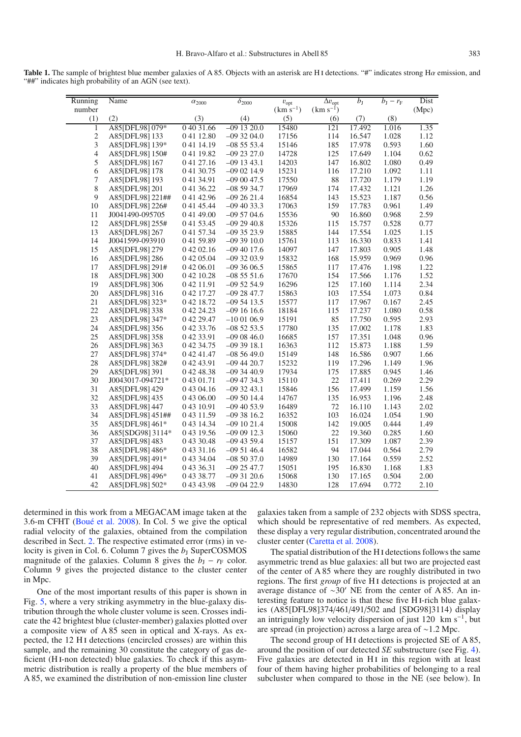<span id="page-4-0"></span>**Table 1.** The sample of brightest blue member galaxies of A 85. Objects with an asterisk are H<sub>I</sub> detections. "#" indicates strong Hα emission, and "##" indicates high probability of an AGN (see text).

| Running        | Name             | $\alpha_{2000}$ | $\delta_{2000}$ | $v_{\rm opt}$ | $\Delta v_{\rm opt}$ | $b_{\rm J}$ | $b_{\rm J}-r_{\rm F}$ | Dist  |
|----------------|------------------|-----------------|-----------------|---------------|----------------------|-------------|-----------------------|-------|
| number         |                  |                 |                 | $(km s^{-1})$ | $(km s^{-1})$        |             |                       | (Mpc) |
| (1)            | (2)              | (3)             | (4)             | (5)           | (6)                  | (7)         | (8)                   |       |
| $\mathbf{1}$   | A85[DFL98] 079*  | 0 40 31.66      | $-091320.0$     | 15480         | 121                  | 17.492      | 1.016                 | 1.35  |
| $\sqrt{2}$     | A85[DFL98] 133   | 04112.80        | $-093204.0$     | 17156         | 114                  | 16.547      | 1.028                 | 1.12  |
| $\mathfrak{Z}$ | A85[DFL98] 139*  | 0 41 14.19      | $-085553.4$     | 15146         | 185                  | 17.978      | 0.593                 | 1.60  |
| $\overline{4}$ | A85[DFL98] 150#  | 041 19.82       | $-092327.0$     | 14728         | 125                  | 17.649      | 1.104                 | 0.62  |
| 5              | A85[DFL98] 167   | 0 41 27.16      | $-091343.1$     | 14203         | 147                  | 16.802      | 1.080                 | 0.49  |
| 6              | A85[DFL98] 178   | 0 41 30.75      | $-090214.9$     | 15231         | 116                  | 17.210      | 1.092                 | 1.11  |
| $\tau$         | A85[DFL98] 193   | 0 41 34.91      | $-090047.5$     | 17550         | 88                   | 17.720      | 1.179                 | 1.19  |
| 8              | A85[DFL98] 201   | 0 41 36.22      | $-085934.7$     | 17969         | 174                  | 17.432      | 1.121                 | 1.26  |
| 9              | A85[DFL98] 221## | 0 41 42.96      | $-092621.4$     | 16854         | 143                  | 15.523      | 1.187                 | 0.56  |
| 10             | A85[DFL98] 226#  | 0 41 45.44      | $-094033.3$     | 17063         | 159                  | 17.783      | 0.961                 | 1.49  |
| 11             | J0041490-095705  | 04149.00        | $-095704.6$     | 15536         | 90                   | 16.860      | 0.968                 | 2.59  |
| 12             | A85[DFL98] 255#  | 0 41 53.45      | $-092940.8$     | 15326         | 115                  | 15.757      | 0.528                 | 0.77  |
| 13             | A85[DFL98] 267   | 0 41 57.34      | $-093523.9$     | 15885         | 144                  | 17.554      | 1.025                 | 1.15  |
| 14             | J0041599-093910  | 04159.89        | $-093910.0$     | 15761         | 113                  | 16.330      | 0.833                 | 1.41  |
| 15             | A85[DFL98] 279   | 0 42 02.16      | $-094017.6$     | 14097         | 147                  | 17.803      | 0.905                 | 1.48  |
| 16             | A85[DFL98] 286   | 0 42 05.04      | $-093203.9$     | 15832         | 168                  | 15.959      | 0.969                 | 0.96  |
| 17             | A85[DFL98] 291#  | 0 42 06.01      | $-093606.5$     | 15865         | 117                  | 17.476      | 1.198                 | 1.22  |
| 18             | A85[DFL98] 300   | 0 42 10.28      | $-085551.6$     | 17670         | 154                  | 17.566      | 1.176                 | 1.52  |
| 19             | A85[DFL98] 306   | 0 42 11.91      | $-095254.9$     | 16296         | 125                  | 17.160      | 1.114                 | 2.34  |
| 20             | A85[DFL98] 316   | 0 42 17.27      | $-092847.7$     | 15863         | 103                  | 17.554      | 1.073                 | 0.84  |
| 21             | A85[DFL98] 323*  | 042 18.72       | $-095413.5$     | 15577         | 117                  | 17.967      | 0.167                 | 2.45  |
| 22             | A85[DFL98] 338   | 0 42 24.23      | $-091616.6$     | 18184         | 115                  | 17.237      | 1.080                 | 0.58  |
| 23             | A85[DFL98] 347*  | 0 42 29.47      | $-100106.9$     | 15191         | 85                   | 17.750      | 0.595                 | 2.93  |
| 24             | A85[DFL98] 356   | 0 42 33.76      | $-085253.5$     | 17780         | 135                  | 17.002      | 1.178                 | 1.83  |
| 25             | A85[DFL98] 358   | 0 42 33.91      | $-090846.0$     | 16685         | 157                  | 17.351      | 1.048                 | 0.96  |
| 26             | A85[DFL98] 363   | 0 42 34.75      | $-093918.1$     | 16363         | 112                  | 15.873      | 1.188                 | 1.59  |
| $27\,$         | A85[DFL98] 374*  | 0 42 41.47      | $-085649.0$     | 15149         | 148                  | 16.586      | 0.907                 | 1.66  |
| 28             | A85[DFL98] 382#  | 0 42 43.91      | $-094420.7$     | 15232         | 119                  | 17.296      | 1.149                 | 1.96  |
| 29             | A85[DFL98] 391   | 04248.38        | $-093440.9$     | 17934         | 175                  | 17.885      | 0.945                 | 1.46  |
| 30             | J0043017-094721* | 0 43 01.71      | $-09$ 47 34.3   | 15110         | 22                   | 17.411      | 0.269                 | 2.29  |
| 31             | A85[DFL98] 429   | 0 43 04.16      | $-093243.1$     | 15846         | 156                  | 17.499      | 1.159                 | 1.56  |
| 32             | A85[DFL98]435    | 0 43 06.00      | $-095014.4$     | 14767         | 135                  | 16.953      | 1.196                 | 2.48  |
| 33             | A85[DFL98] 447   | 0 43 10.91      | $-094053.9$     | 16489         | 72                   | 16.110      | 1.143                 | 2.02  |
| 34             | A85[DFL98] 451## | 0 43 11.59      | $-093816.2$     | 16352         | 103                  | 16.024      | 1.054                 | 1.90  |
| 35             | A85[DFL98] 461*  | 0 43 14.34      | $-091021.4$     | 15008         | 142                  | 19.005      | 0.444                 | 1.49  |
| 36             | A85[SDG98] 3114* | 0 43 19.56      | $-090912.3$     | 15060         | 22                   | 19.360      | 0.285                 | 1.60  |
| 37             | A85[DFL98]483    | 0 43 30.48      | $-09$ 43 59.4   | 15157         | 151                  | 17.309      | 1.087                 | 2.39  |
| 38             | A85[DFL98]486*   | 0 43 31.16      | $-095146.4$     | 16582         | 94                   | 17.044      | 0.564                 | 2.79  |
| 39             | A85[DFL98] 491*  | 0 43 34.04      | $-085037.0$     | 14989         | 130                  | 17.164      | 0.559                 | 2.52  |
| 40             | A85[DFL98] 494   | 0 43 36.31      | $-092547.7$     | 15051         | 195                  | 16.830      | 1.168                 | 1.83  |
| 41             | A85[DFL98] 496*  | 0 43 38.77      | $-093120.6$     | 15068         | 130                  | 17.165      | 0.504                 | 2.00  |
| 42             | A85[DFL98] 502*  | 0 43 43.98      | $-090422.9$     | 14830         | 128                  | 17.694      | 0.772                 | 2.10  |
|                |                  |                 |                 |               |                      |             |                       |       |

determined in this work from a MEGACAM image taken at the 3.6-m CFHT [\(Boué et al. 2008\)](#page-8-35). In Col. 5 we give the optical radial velocity of the galaxies, obtained from the compilation described in Sect. [2.](#page-1-0) The respective estimated error (rms) in velocity is given in Col. 6. Column 7 gives the  $b<sub>J</sub>$  SuperCOSMOS magnitude of the galaxies. Column 8 gives the  $b_{\text{J}} - r_{\text{F}}$  color. Column 9 gives the projected distance to the cluster center in Mpc.

One of the most important results of this paper is shown in Fig. [5,](#page-5-1) where a very striking asymmetry in the blue-galaxy distribution through the whole cluster volume is seen. Crosses indicate the 42 brightest blue (cluster-member) galaxies plotted over a composite view of A 85 seen in optical and X-rays. As expected, the 12 H i detections (encircled crosses) are within this sample, and the remaining 30 constitute the category of gas deficient (H<sub>I</sub>-non detected) blue galaxies. To check if this asymmetric distribution is really a property of the blue members of A 85, we examined the distribution of non-emission line cluster

galaxies taken from a sample of 232 objects with SDSS spectra, which should be representative of red members. As expected, these display a very regular distribution, concentrated around the cluster center [\(Caretta et al. 2008](#page-8-37)).

The spatial distribution of the H i detections follows the same asymmetric trend as blue galaxies: all but two are projected east of the center of A 85 where they are roughly distributed in two regions. The first *group* of five HI detections is projected at an average distance of ∼30 NE from the center of A 85. An interesting feature to notice is that these five H i-rich blue galaxies (A85[DFL98]374/461/491/502 and [SDG98]3114) display an intriguingly low velocity dispersion of just 120 km s−1, but are spread (in projection) across a large area of ∼1.2 Mpc.

The second group of H<sub>I</sub> detections is projected SE of A 85, around the position of our detected *SE* substructure (see Fig. [4\)](#page-3-2). Five galaxies are detected in H<sub>I</sub> in this region with at least four of them having higher probabilities of belonging to a real subcluster when compared to those in the NE (see below). In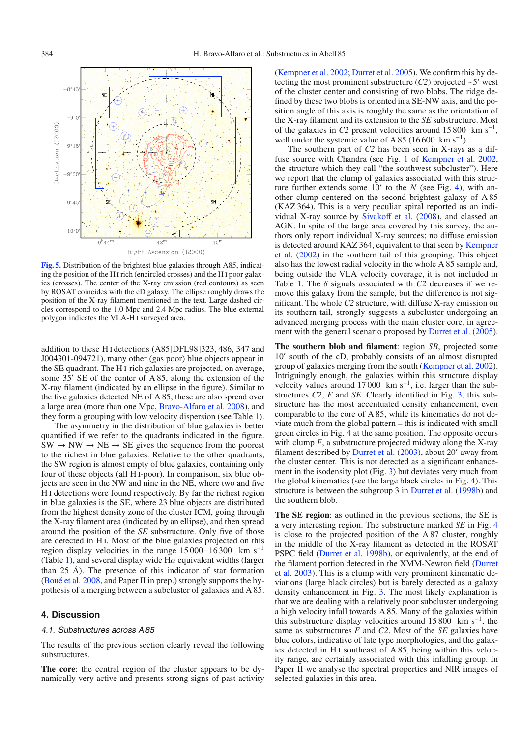<span id="page-5-1"></span>

**[Fig. 5.](http://dexter.edpsciences.org/applet.php?DOI=10.1051/0004-6361:200810731&pdf_id=5)** Distribution of the brightest blue galaxies through A85, indicating the position of the H i rich (encircled crosses) and the H i poor galaxies (crosses). The center of the X-ray emission (red contours) as seen by ROSAT coincides with the cD galaxy. The ellipse roughly draws the position of the X-ray filament mentioned in the text. Large dashed circles correspond to the 1.0 Mpc and 2.4 Mpc radius. The blue external polygon indicates the VLA-H i surveyed area.

addition to these H i detections (A85[DFL98]323, 486, 347 and J004301-094721), many other (gas poor) blue objects appear in the SE quadrant. The H i-rich galaxies are projected, on average, some  $35'$  SE of the center of A 85, along the extension of the X-ray filament (indicated by an ellipse in the figure). Similar to the five galaxies detected NE of A 85, these are also spread over a large area (more than one Mpc, [Bravo-Alfaro et al. 2008](#page-8-24)), and they form a grouping with low velocity dispersion (see Table [1\)](#page-4-0).

The asymmetry in the distribution of blue galaxies is better quantified if we refer to the quadrants indicated in the figure.  $SW \rightarrow NW \rightarrow NE \rightarrow SE$  gives the sequence from the poorest to the richest in blue galaxies. Relative to the other quadrants, the SW region is almost empty of blue galaxies, containing only four of these objects (all H i-poor). In comparison, six blue objects are seen in the NW and nine in the NE, where two and five H i detections were found respectively. By far the richest region in blue galaxies is the SE, where 23 blue objects are distributed from the highest density zone of the cluster ICM, going through the X-ray filament area (indicated by an ellipse), and then spread around the position of the *SE* substructure. Only five of those are detected in H i. Most of the blue galaxies projected on this region display velocities in the range  $15000-16300$  km s<sup>-1</sup> (Table [1\)](#page-4-0), and several display wide  $H\alpha$  equivalent widths (larger than 25 Å). The presence of this indicator of star formation [\(Boué et al. 2008,](#page-8-35) and Paper II in prep.) strongly supports the hypothesis of a merging between a subcluster of galaxies and A 85.

# <span id="page-5-0"></span>**4. Discussion**

#### 4.1. Substructures across A 85

The results of the previous section clearly reveal the following substructures.

**The core**: the central region of the cluster appears to be dynamically very active and presents strong signs of past activity [\(Kempner et al. 2002](#page-8-13); [Durret et al. 2005](#page-8-14)). We confirm this by detecting the most prominent substructure  $(C2)$  projected ∼5' west of the cluster center and consisting of two blobs. The ridge defined by these two blobs is oriented in a SE-NW axis, and the position angle of this axis is roughly the same as the orientation of the X-ray filament and its extension to the *SE* substructure. Most of the galaxies in *C2* present velocities around  $15\,800 \, \text{km s}^{-1}$ , well under the systemic value of A 85 (16 600 km s<sup>-1</sup>).

The southern part of *C2* has been seen in X-rays as a diffuse source with Chandra (see Fig. [1](#page-2-1) of [Kempner et al. 2002](#page-8-13), the structure which they call "the southwest subcluster"). Here we report that the clump of galaxies associated with this structure further extends some  $10'$  to the *N* (see Fig. [4\)](#page-3-2), with another clump centered on the second brightest galaxy of A 85 (KAZ 364). This is a very peculiar spiral reported as an individual X-ray source by [Sivako](#page-8-36)ff et al. [\(2008\)](#page-8-36), and classed an AGN. In spite of the large area covered by this survey, the authors only report individual X-ray sources; no diffuse emission is det[ected around KAZ 364, equivalent to that seen by](#page-8-13) Kempner et al. [\(2002\)](#page-8-13) in the southern tail of this grouping. This object also has the lowest radial velocity in the whole A 85 sample and, being outside the VLA velocity coverage, it is not included in Table [1.](#page-4-0) The δ signals associated with *C2* decreases if we remove this galaxy from the sample, but the difference is not significant. The whole *C2* structure, with diffuse X-ray emission on its southern tail, strongly suggests a subcluster undergoing an advanced merging process with the main cluster core, in agreement with the general scenario proposed by [Durret et al.](#page-8-14) [\(2005](#page-8-14)).

**The southern blob and filament**: region *SB*, projected some 10' south of the cD, probably consists of an almost disrupted group of galaxies merging from the south [\(Kempner et al. 2002](#page-8-13)). Intriguingly enough, the galaxies within this structure display velocity values around 17 000 km s<sup>-1</sup>, i.e. larger than the substructures *C2*, *F* and *SE*. Clearly identified in Fig. [3,](#page-2-3) this substructure has the most accentuated density enhancement, even comparable to the core of A 85, while its kinematics do not deviate much from the global pattern – this is indicated with small green circles in Fig. [4](#page-3-2) at the same position. The opposite occurs with clump *F*, a substructure projected midway along the X-ray filament described by [Durret et al.](#page-8-31)  $(2003)$  $(2003)$ , about 20' away from the cluster center. This is not detected as a significant enhancement in the isodensity plot (Fig. [3\)](#page-2-3) but deviates very much from the global kinematics (see the large black circles in Fig. [4\)](#page-3-2). This structure is between the subgroup 3 in [Durret et al.](#page-8-11) [\(1998b\)](#page-8-11) and the southern blob.

**The SE region**: as outlined in the previous sections, the SE is a very interesting region. The substructure marked *SE* in Fig. [4](#page-3-2) is close to the projected position of the A 87 cluster, roughly in the middle of the X-ray filament as detected in the ROSAT PSPC field [\(Durret et al. 1998b\)](#page-8-11), or equivalently, at the end of the [filament portion detected in the XMM-Newton field \(](#page-8-31)Durret et al. [2003](#page-8-31)). This is a clump with very prominent kinematic deviations (large black circles) but is barely detected as a galaxy density enhancement in Fig. [3.](#page-2-3) The most likely explanation is that we are dealing with a relatively poor subcluster undergoing a high velocity infall towards A 85. Many of the galaxies within this substructure display velocities around 15 800 km s<sup>-1</sup>, the same as substructures *F* and *C2*. Most of the *SE* galaxies have blue colors, indicative of late type morphologies, and the galaxies detected in H<sub>I</sub> southeast of A 85, being within this velocity range, are certainly associated with this infalling group. In Paper II we analyse the spectral properties and NIR images of selected galaxies in this area.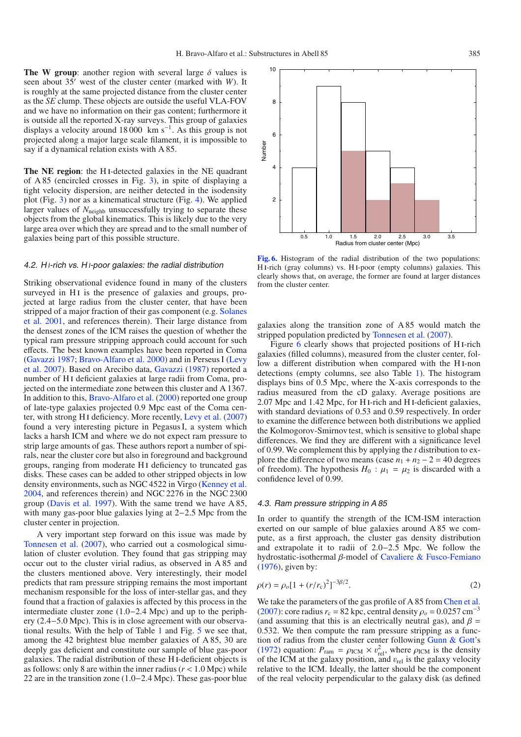**The W group**: another region with several large  $\delta$  values is seen about 35' west of the cluster center (marked with *W*). It is roughly at the same projected distance from the cluster center as the *SE* clump. These objects are outside the useful VLA-FOV and we have no information on their gas content; furthermore it is outside all the reported X-ray surveys. This group of galaxies displays a velocity around  $18\,000$  km s<sup>-1</sup>. As this group is not projected along a major large scale filament, it is impossible to say if a dynamical relation exists with A 85.

**The NE region**: the H i-detected galaxies in the NE quadrant of A 85 (encircled crosses in Fig. [3\)](#page-2-3), in spite of displaying a tight velocity dispersion, are neither detected in the isodensity plot (Fig. [3\)](#page-2-3) nor as a kinematical structure (Fig. [4\)](#page-3-2). We applied larger values of  $N_{\text{neighb}}$  unsuccessfully trying to separate these objects from the global kinematics. This is likely due to the very large area over which they are spread and to the small number of galaxies being part of this possible structure.

# 4.2. H<sub>1</sub>-rich vs. H<sub>1</sub>-poor galaxies: the radial distribution

Striking observational evidence found in many of the clusters surveyed in H<sub>I</sub> is the presence of galaxies and groups, projected at large radius from the cluster center, that have been strip[ped of a major fraction of their gas component \(e.g.](#page-8-38) Solanes et al. [2001,](#page-8-38) and references therein). Their large distance from the densest zones of the ICM raises the question of whether the typical ram pressure stripping approach could account for such effects. The best known examples have been reported in Coma [\(Gavazzi 1987](#page-8-39); [Bravo-Alfaro et al. 2000](#page-8-33)[\) and in Perseus I \(](#page-8-40)Levy et al. [2007](#page-8-40)). Based on Arecibo data, [Gavazzi](#page-8-39) [\(1987](#page-8-39)) reported a number of H i deficient galaxies at large radii from Coma, projected on the intermediate zone between this cluster and A 1367. In addition to this, [Bravo-Alfaro et al.](#page-8-33) [\(2000\)](#page-8-33) reported one group of late-type galaxies projected 0.9 Mpc east of the Coma center, with strong H i deficiency. More recently, [Levy et al.](#page-8-40) [\(2007\)](#page-8-40) found a very interesting picture in Pegasus I, a system which lacks a harsh ICM and where we do not expect ram pressure to strip large amounts of gas. These authors report a number of spirals, near the cluster core but also in foreground and background groups, ranging from moderate H<sub>I</sub> deficiency to truncated gas disks. These cases can be added to other stripped objects in low density environments, such as NGC 4522 in Virgo [\(Kenney et al.](#page-8-41) [2004](#page-8-41), and references therein) and NGC 2276 in the NGC 2300 group [\(Davis et al. 1997\)](#page-8-42). With the same trend we have A 85, with many gas-poor blue galaxies lying at 2−2.5 Mpc from the cluster center in projection.

A very important step forward on this issue was made by [Tonnesen et al.](#page-8-43) [\(2007\)](#page-8-43), who carried out a cosmological simulation of cluster evolution. They found that gas stripping may occur out to the cluster virial radius, as observed in A 85 and the clusters mentioned above. Very interestingly, their model predicts that ram pressure stripping remains the most important mechanism responsible for the loss of inter-stellar gas, and they found that a fraction of galaxies is affected by this process in the intermediate cluster zone (1.0−2.4 Mpc) and up to the periphery (2.4−5.0 Mpc). This is in close agreement with our observational results. With the help of Table [1](#page-4-0) and Fig. [5](#page-5-1) we see that, among the 42 brightest blue member galaxies of A 85, 30 are deeply gas deficient and constitute our sample of blue gas-poor galaxies. The radial distribution of these H i-deficient objects is as follows: only 8 are within the inner radius (*r* < 1.0 Mpc) while 22 are in the transition zone (1.0−2.4 Mpc). These gas-poor blue

**[Fig. 6.](http://dexter.edpsciences.org/applet.php?DOI=10.1051/0004-6361:200810731&pdf_id=6)** Histogram of the radial distribution of the two populations: HI-rich (gray columns) vs. HI-poor (empty columns) galaxies. This clearly shows that, on average, the former are found at larger distances from the cluster center.

galaxies along the transition zone of A 85 would match the stripped population predicted by [Tonnesen et al.](#page-8-43) [\(2007](#page-8-43)).

Figure [6](#page-6-0) clearly shows that projected positions of H<sub>I</sub>-rich galaxies (filled columns), measured from the cluster center, follow a different distribution when compared with the HI-non detections (empty columns, see also Table [1\)](#page-4-0). The histogram displays bins of 0.5 Mpc, where the X-axis corresponds to the radius measured from the cD galaxy. Average positions are 2.07 Mpc and 1.42 Mpc, for H i-rich and H i-deficient galaxies, with standard deviations of 0.53 and 0.59 respectively. In order to examine the difference between both distributions we applied the Kolmogorov-Smirnov test, which is sensitive to global shape differences. We find they are different with a significance level of 0.99. We complement this by applying the *t* distribution to explore the difference of two means (case  $n_1 + n_2 - 2 = 40$  degrees of freedom). The hypothesis  $H_0$ :  $\mu_1 = \mu_2$  is discarded with a confidence level of 0.99.

# 4.3. Ram pressure stripping in A 85

In order to quantify the strength of the ICM-ISM interaction exerted on our sample of blue galaxies around A 85 we compute, as a first approach, the cluster gas density distribution and extrapolate it to radii of 2.0−2.5 Mpc. We follow the hydrostatic-isothermal β-model of [Cavaliere & Fusco-Femiano](#page-8-44) [\(1976](#page-8-44)), given by:

$$
\rho(r) = \rho_o [1 + (r/r_c)^2]^{-3\beta/2}.
$$
\n(2)

We take the parameters of the gas profile of A 85 from [Chen et al.](#page-8-45) [\(2007](#page-8-45)): core radius  $r_c = 82$  kpc, central density  $\rho_o = 0.0257$  cm<sup>-3</sup> (and assuming that this is an electrically neutral gas), and  $\beta$  = 0.532. We then compute the ram pressure stripping as a function of radius from the cluster center following [Gunn & Gott](#page-8-46)'s [\(1972](#page-8-46)) equation:  $P_{\text{ram}} = \rho_{\text{ICM}} \times v_{\text{rel}}^2$ , where  $\rho_{\text{ICM}}$  is the density of the ICM at the galaxy position, and  $v_{\text{rel}}$  is the galaxy velocity relative to the ICM. Ideally, the latter should be the component of the real velocity perpendicular to the galaxy disk (as defined

<span id="page-6-0"></span>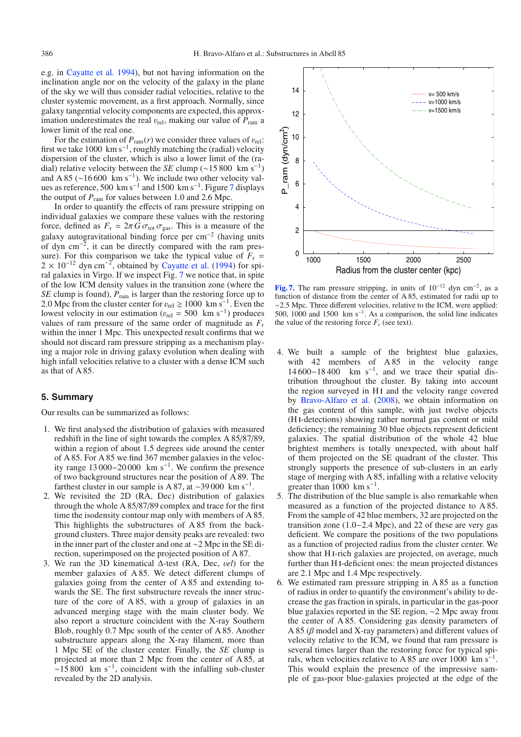e.g. in [Cayatte et al. 1994](#page-8-47)), but not having information on the inclination angle nor on the velocity of the galaxy in the plane of the sky we will thus consider radial velocities, relative to the cluster systemic movement, as a first approach. Normally, since galaxy tangential velocity components are expected, this approximation underestimates the real  $v_{rel}$ , making our value of  $P_{ram}$  a lower limit of the real one.

For the estimation of  $P_{\text{ram}}(r)$  we consider three values of  $v_{\text{rel}}$ : first we take 1000 km s<sup>-1</sup>, roughly matching the (radial) velocity dispersion of the cluster, which is also a lower limit of the (radial) relative velocity between the *SE* clump ( $\sim$ 15 800 km s<sup>-1</sup>) and A 85 ( $\sim$ 16 600 km s<sup>-1</sup>). We include two other velocity val-ues as reference, 500 km s<sup>-1</sup> and 1500 km s<sup>-1</sup>. Figure [7](#page-7-1) displays the output of  $P_{\text{ram}}$  for values between 1.0 and 2.6 Mpc.

In order to quantify the effects of ram pressure stripping on individual galaxies we compare these values with the restoring force, defined as  $F_r = 2\pi G \sigma_{\text{tot}} \sigma_{\text{gas}}$ . This is a measure of the galaxy autogravitational binding force per  $cm^{-2}$  (having units of dyn cm−2, it can be directly compared with the ram pressure). For this comparison we take the typical value of  $F_r$  =  $2 \times 10^{-12}$  dyn cm<sup>-2</sup>, obtained by [Cayatte et al.](#page-8-47) [\(1994\)](#page-8-47) for spiral galaxies in Virgo. If we inspect Fig. [7](#page-7-1) we notice that, in spite of the low ICM density values in the transition zone (where the *SE* clump is found),  $P_{\text{ram}}$  is larger than the restoring force up to 2.0 Mpc from the cluster center for  $v_{\text{rel}} \ge 1000 \text{ km s}^{-1}$ . Even the lowest velocity in our estimation ( $v_{\text{rel}} = 500$  km s<sup>-1</sup>) produces values of ram pressure of the same order of magnitude as *F*<sup>r</sup> within the inner 1 Mpc. This unexpected result confirms that we should not discard ram pressure stripping as a mechanism playing a major role in driving galaxy evolution when dealing with high infall velocities relative to a cluster with a dense ICM such as that of A 85.

# <span id="page-7-0"></span>**5. Summary**

Our results can be summarized as follows:

- 1. We first analysed the distribution of galaxies with measured redshift in the line of sight towards the complex A 85/87/89, within a region of about 1.5 degrees side around the center of A 85. For A 85 we find 367 member galaxies in the velocity range 13 000−20 000 km s−1. We confirm the presence of two background structures near the position of A 89. The farthest cluster in our sample is A 87, at ~39 000 km s<sup>-1</sup>.
- 2. We revisited the 2D (RA, Dec) distribution of galaxies through the whole A 85/87/89 complex and trace for the first time the isodensity contour map only with members of A 85. This highlights the substructures of A 85 from the background clusters. Three major density peaks are revealed: two in the inner part of the cluster and one at ∼2 Mpc in the SE direction, superimposed on the projected position of A 87.
- 3. We ran the 3D kinematical Δ-test (RA, Dec, v*el*) for the member galaxies of A 85. We detect different clumps of galaxies going from the center of A 85 and extending towards the SE. The first substructure reveals the inner structure of the core of A 85, with a group of galaxies in an advanced merging stage with the main cluster body. We also report a structure coincident with the X-ray Southern Blob, roughly 0.7 Mpc south of the center of A 85. Another substructure appears along the X-ray filament, more than 1 Mpc SE of the cluster center. Finally, the *SE* clump is projected at more than 2 Mpc from the center of A 85, at  $\sim$ 15 800 km s<sup>-1</sup>, coincident with the infalling sub-cluster revealed by the 2D analysis.

<span id="page-7-1"></span>

**[Fig. 7.](http://dexter.edpsciences.org/applet.php?DOI=10.1051/0004-6361:200810731&pdf_id=7)** The ram pressure stripping, in units of  $10^{-12}$  dyn cm<sup>-2</sup>, as a function of distance from the center of A 85, estimated for radii up to ∼2.5 Mpc. Three different velocities, relative to the ICM, were applied: 500, 1000 and 1500 km s<sup> $-1$ </sup>. As a comparison, the solid line indicates the value of the restoring force  $F_r$  (see text).

- 4. We built a sample of the brightest blue galaxies, with 42 members of A 85 in the velocity range  $14600-18400$  km s<sup>-1</sup>, and we trace their spatial distribution throughout the cluster. By taking into account the region surveyed in H<sub>I</sub> and the velocity range covered by [Bravo-Alfaro et al.](#page-8-24) [\(2008\)](#page-8-24), we obtain information on the gas content of this sample, with just twelve objects (H i-detections) showing rather normal gas content or mild deficiency; the remaining 30 blue objects represent deficient galaxies. The spatial distribution of the whole 42 blue brightest members is totally unexpected, with about half of them projected on the SE quadrant of the cluster. This strongly supports the presence of sub-clusters in an early stage of merging with A 85, infalling with a relative velocity greater than 1000 km  $s^{-1}$ .
- 5. The distribution of the blue sample is also remarkable when measured as a function of the projected distance to A 85. From the sample of 42 blue members, 32 are projected on the transition zone (1.0−2.4 Mpc), and 22 of these are very gas deficient. We compare the positions of the two populations as a function of projected radius from the cluster center. We show that H<sub>I</sub>-rich galaxies are projected, on average, much further than H<sub>I</sub>-deficient ones: the mean projected distances are 2.1 Mpc and 1.4 Mpc respectively.
- 6. We estimated ram pressure stripping in A 85 as a function of radius in order to quantify the environment's ability to decrease the gas fraction in spirals, in particular in the gas-poor blue galaxies reported in the SE region, ∼2 Mpc away from the center of A 85. Considering gas density parameters of A 85  $(\beta$  model and X-ray parameters) and different values of velocity relative to the ICM, we found that ram pressure is several times larger than the restoring force for typical spirals, when velocities relative to A 85 are over 1000 km s<sup>-1</sup>. This would explain the presence of the impressive sample of gas-poor blue-galaxies projected at the edge of the